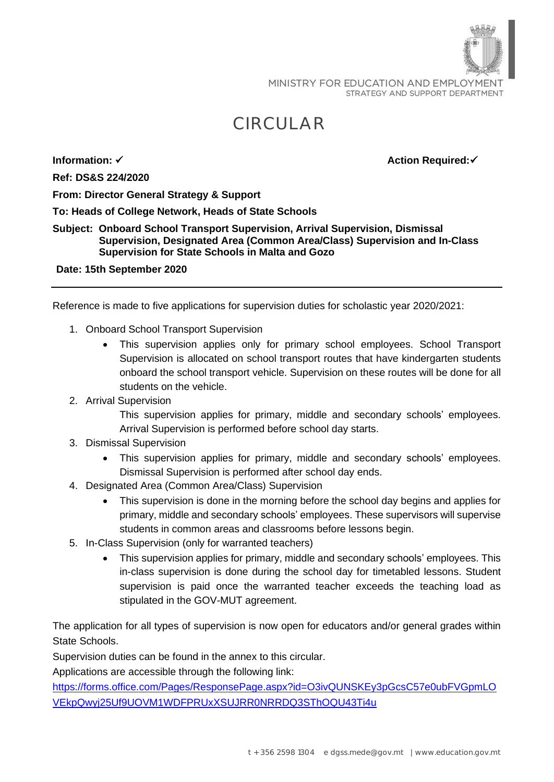MINISTRY FOR EDUCATION AND EMPLOYMENT STRATEGY AND SUPPORT DEPARTMENT

## CIRCULAR

**Ref: DS&S 224/2020**

**Information:** ✓ **Action Required:** 

**From: Director General Strategy & Support**

**To: Heads of College Network, Heads of State Schools**

## **Subject: Onboard School Transport Supervision, Arrival Supervision, Dismissal Supervision, Designated Area (Common Area/Class) Supervision and In-Class Supervision for State Schools in Malta and Gozo**

**Date: 15th September 2020**

Reference is made to five applications for supervision duties for scholastic year 2020/2021:

- 1. Onboard School Transport Supervision
	- This supervision applies only for primary school employees. School Transport Supervision is allocated on school transport routes that have kindergarten students onboard the school transport vehicle. Supervision on these routes will be done for all students on the vehicle.
- 2. Arrival Supervision

This supervision applies for primary, middle and secondary schools' employees. Arrival Supervision is performed before school day starts.

- 3. Dismissal Supervision
	- This supervision applies for primary, middle and secondary schools' employees. Dismissal Supervision is performed after school day ends.
- 4. Designated Area (Common Area/Class) Supervision
	- This supervision is done in the morning before the school day begins and applies for primary, middle and secondary schools' employees. These supervisors will supervise students in common areas and classrooms before lessons begin.
- 5. In-Class Supervision (only for warranted teachers)
	- This supervision applies for primary, middle and secondary schools' employees. This in-class supervision is done during the school day for timetabled lessons. Student supervision is paid once the warranted teacher exceeds the teaching load as stipulated in the GOV-MUT agreement.

The application for all types of supervision is now open for educators and/or general grades within State Schools.

Supervision duties can be found in the annex to this circular.

Applications are accessible through the following link:

[https://forms.office.com/Pages/ResponsePage.aspx?id=O3ivQUNSKEy3pGcsC57e0ubFVGpmLO](https://forms.office.com/Pages/ResponsePage.aspx?id=O3ivQUNSKEy3pGcsC57e0ubFVGpmLOVEkpQwyj25Uf9UOVM1WDFPRUxXSUJRR0NRRDQ3SThOQU43Ti4u) [VEkpQwyj25Uf9UOVM1WDFPRUxXSUJRR0NRRDQ3SThOQU43Ti4u](https://forms.office.com/Pages/ResponsePage.aspx?id=O3ivQUNSKEy3pGcsC57e0ubFVGpmLOVEkpQwyj25Uf9UOVM1WDFPRUxXSUJRR0NRRDQ3SThOQU43Ti4u)